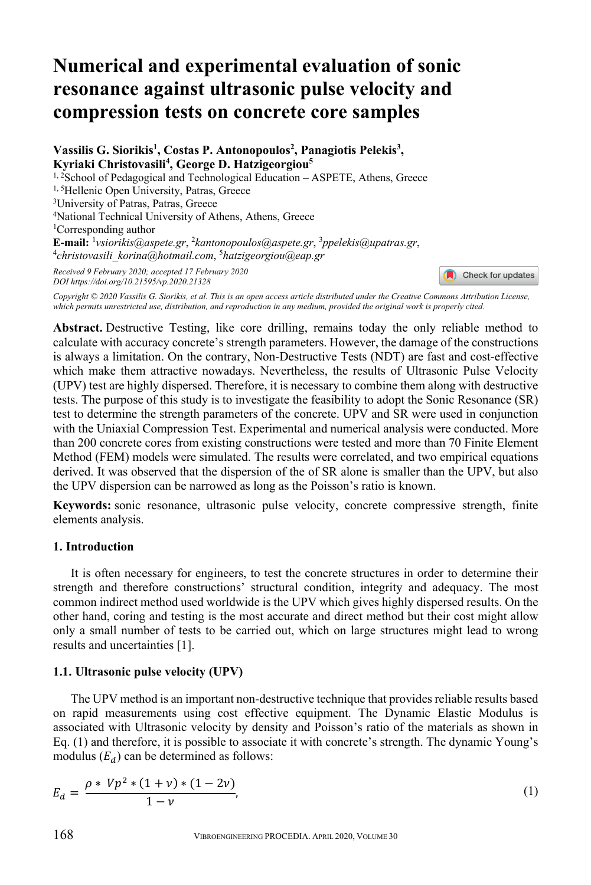# **Numerical and experimental evaluation of sonic resonance against ultrasonic pulse velocity and compression tests on concrete core samples**

Vassilis G. Siorikis<sup>1</sup>, Costas P. Antonopoulos<sup>2</sup>, Panagiotis Pelekis<sup>3</sup>, **Kyriaki Christovasili4 , George D. Hatzigeorgiou5** <sup>1, 2</sup>School of Pedagogical and Technological Education – ASPETE, Athens, Greece <sup>1, 5</sup>Hellenic Open University, Patras, Greece <sup>3</sup>University of Patras, Patras, Greece 4National Technical University of Athens, Athens, Greece 1Corresponding author **E-mail:** <sup>1</sup> *vsiorikis@aspete.gr*, 2*kantonopoulos@aspete.gr*, 3*ppelekis@upatras.gr*, 4*christovasili\_korina@hotmail.com*, 5*hatzigeorgiou@eap.gr* 

*Received 9 February 2020; accepted 17 February 2020 DOI https://doi.org/10.21595/vp.2020.21328* 

Check for updates

*Copyright © 2020 Vassilis G. Siorikis, et al. This is an open access article distributed under the Creative Commons Attribution License, which permits unrestricted use, distribution, and reproduction in any medium, provided the original work is properly cited.*

**Abstract.** Destructive Testing, like core drilling, remains today the only reliable method to calculate with accuracy concrete's strength parameters. However, the damage of the constructions is always a limitation. On the contrary, Non-Destructive Tests (NDT) are fast and cost-effective which make them attractive nowadays. Nevertheless, the results of Ultrasonic Pulse Velocity (UPV) test are highly dispersed. Therefore, it is necessary to combine them along with destructive tests. The purpose of this study is to investigate the feasibility to adopt the Sonic Resonance (SR) test to determine the strength parameters of the concrete. UPV and SR were used in conjunction with the Uniaxial Compression Test. Experimental and numerical analysis were conducted. More than 200 concrete cores from existing constructions were tested and more than 70 Finite Element Method (FEM) models were simulated. The results were correlated, and two empirical equations derived. It was observed that the dispersion of the of SR alone is smaller than the UPV, but also the UPV dispersion can be narrowed as long as the Poisson's ratio is known.

**Keywords:** sonic resonance, ultrasonic pulse velocity, concrete compressive strength, finite elements analysis.

### **1. Introduction**

It is often necessary for engineers, to test the concrete structures in order to determine their strength and therefore constructions' structural condition, integrity and adequacy. The most common indirect method used worldwide is the UPV which gives highly dispersed results. On the other hand, coring and testing is the most accurate and direct method but their cost might allow only a small number of tests to be carried out, which on large structures might lead to wrong results and uncertainties [1].

# **1.1. Ultrasonic pulse velocity (UPV)**

The UPV method is an important non-destructive technique that provides reliable results based on rapid measurements using cost effective equipment. The Dynamic Elastic Modulus is associated with Ultrasonic velocity by density and Poisson's ratio of the materials as shown in Eq. (1) and therefore, it is possible to associate it with concrete's strength. The dynamic Young's modulus  $(E_d)$  can be determined as follows:

$$
E_d = \frac{\rho * Vp^2 * (1 + \nu) * (1 - 2\nu)}{1 - \nu},
$$
\n(1)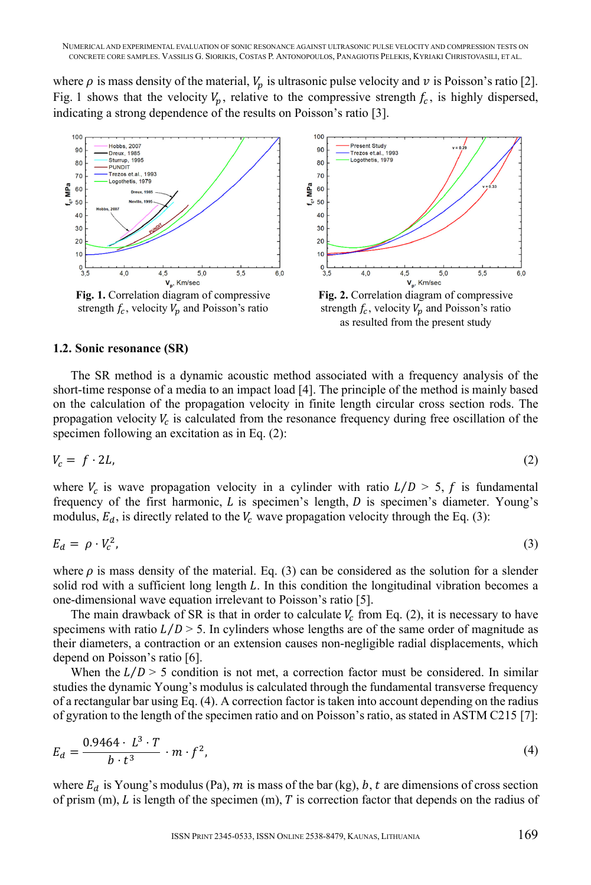where  $\rho$  is mass density of the material,  $V_n$  is ultrasonic pulse velocity and  $\nu$  is Poisson's ratio [2]. Fig. 1 shows that the velocity  $V_n$ , relative to the compressive strength  $f_c$ , is highly dispersed, indicating a strong dependence of the results on Poisson's ratio [3].



**Fig. 1.** Correlation diagram of compressive strength  $f_c$ , velocity  $V_p$  and Poisson's ratio



strength  $f_c$ , velocity  $V_p$  and Poisson's ratio as resulted from the present study

#### **1.2. Sonic resonance (SR)**

The SR method is a dynamic acoustic method associated with a frequency analysis of the short-time response of a media to an impact load [4]. The principle of the method is mainly based on the calculation of the propagation velocity in finite length circular cross section rods. The propagation velocity  $V_c$  is calculated from the resonance frequency during free oscillation of the specimen following an excitation as in Eq. (2):

$$
V_c = f \cdot 2L,\tag{2}
$$

where  $V_c$  is wave propagation velocity in a cylinder with ratio  $L/D > 5$ , f is fundamental frequency of the first harmonic,  $L$  is specimen's length,  $D$  is specimen's diameter. Young's modulus,  $E_d$ , is directly related to the  $V_c$  wave propagation velocity through the Eq. (3):

$$
E_d = \rho \cdot V_c^2,\tag{3}
$$

where  $\rho$  is mass density of the material. Eq. (3) can be considered as the solution for a slender solid rod with a sufficient long length  $L$ . In this condition the longitudinal vibration becomes a one-dimensional wave equation irrelevant to Poisson's ratio [5].

The main drawback of SR is that in order to calculate  $V_c$  from Eq. (2), it is necessary to have specimens with ratio  $L/D > 5$ . In cylinders whose lengths are of the same order of magnitude as their diameters, a contraction or an extension causes non-negligible radial displacements, which depend on Poisson's ratio [6].

When the  $L/D > 5$  condition is not met, a correction factor must be considered. In similar studies the dynamic Young's modulus is calculated through the fundamental transverse frequency of a rectangular bar using Eq. (4). A correction factor is taken into account depending on the radius of gyration to the length of the specimen ratio and on Poisson's ratio, as stated in ASTM C215 [7]:

$$
E_d = \frac{0.9464 \cdot L^3 \cdot T}{b \cdot t^3} \cdot m \cdot f^2,\tag{4}
$$

where  $E_d$  is Young's modulus (Pa), m is mass of the bar (kg), b, t are dimensions of cross section of prism  $(m)$ ,  $L$  is length of the specimen  $(m)$ ,  $T$  is correction factor that depends on the radius of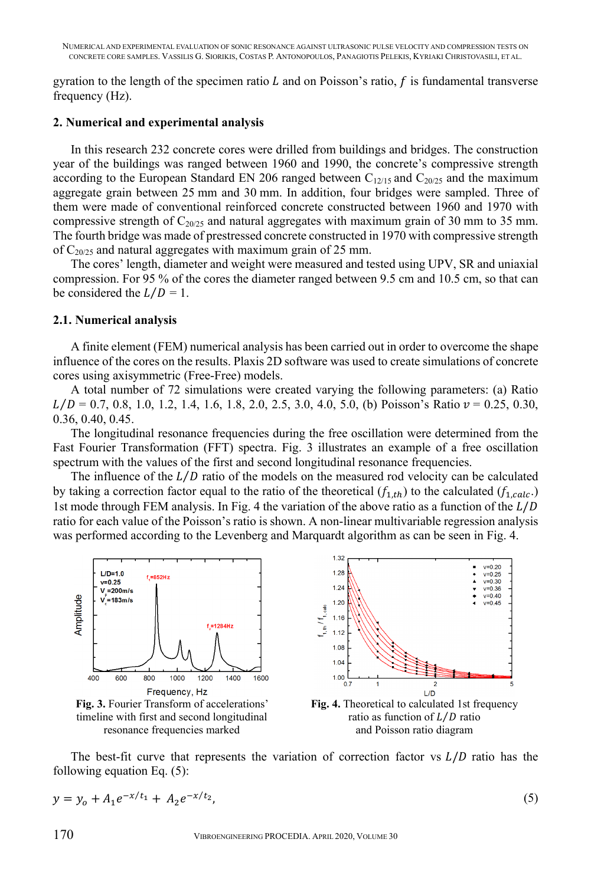gyration to the length of the specimen ratio  $L$  and on Poisson's ratio,  $f$  is fundamental transverse frequency (Hz).

# **2. Numerical and experimental analysis**

In this research 232 concrete cores were drilled from buildings and bridges. The construction year of the buildings was ranged between 1960 and 1990, the concrete's compressive strength according to the European Standard EN 206 ranged between  $C_{12/15}$  and  $C_{20/25}$  and the maximum aggregate grain between 25 mm and 30 mm. In addition, four bridges were sampled. Three of them were made of conventional reinforced concrete constructed between 1960 and 1970 with compressive strength of  $C_{20/25}$  and natural aggregates with maximum grain of 30 mm to 35 mm. The fourth bridge was made of prestressed concrete constructed in 1970 with compressive strength of  $C_{20/25}$  and natural aggregates with maximum grain of 25 mm.

The cores' length, diameter and weight were measured and tested using UPV, SR and uniaxial compression. For 95 % of the cores the diameter ranged between 9.5 cm and 10.5 cm, so that can be considered the  $L/D = 1$ .

# **2.1. Numerical analysis**

A finite element (FEM) numerical analysis has been carried out in order to overcome the shape influence of the cores on the results. Plaxis 2D software was used to create simulations of concrete cores using axisymmetric (Free-Free) models.

A total number of 72 simulations were created varying the following parameters: (a) Ratio  $L/D = 0.7, 0.8, 1.0, 1.2, 1.4, 1.6, 1.8, 2.0, 2.5, 3.0, 4.0, 5.0,$  (b) Poisson's Ratio  $v = 0.25, 0.30,$ 0.36, 0.40, 0.45.

The longitudinal resonance frequencies during the free oscillation were determined from the Fast Fourier Transformation (FFT) spectra. Fig. 3 illustrates an example of a free oscillation spectrum with the values of the first and second longitudinal resonance frequencies.

The influence of the  $L/D$  ratio of the models on the measured rod velocity can be calculated by taking a correction factor equal to the ratio of the theoretical  $(f_{1,th})$  to the calculated  $(f_{1,calc})$ 1st mode through FEM analysis. In Fig. 4 the variation of the above ratio as a function of the  $L/D$ ratio for each value of the Poisson's ratio is shown. A non-linear multivariable regression analysis was performed according to the Levenberg and Marquardt algorithm as can be seen in Fig. 4.



timeline with first and second longitudinal resonance frequencies marked



ratio as function of  $L/D$  ratio and Poisson ratio diagram

The best-fit curve that represents the variation of correction factor vs  $L/D$  ratio has the following equation Eq. (5):

$$
y = y_0 + A_1 e^{-x/t_1} + A_2 e^{-x/t_2}, \tag{5}
$$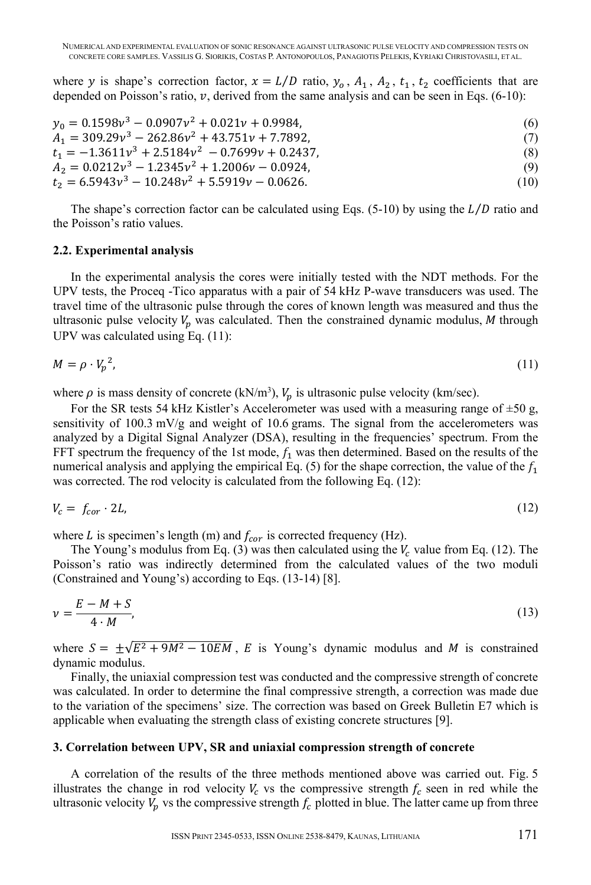where y is shape's correction factor,  $x = L/D$  ratio,  $y_0$ ,  $A_1$ ,  $A_2$ ,  $t_1$ ,  $t_2$  coefficients that are depended on Poisson's ratio,  $v$ , derived from the same analysis and can be seen in Eqs. (6-10):

$$
y_0 = 0.1598v^3 - 0.0907v^2 + 0.021v + 0.9984,
$$
  
\n
$$
A_1 = 309.29v^3 - 262.86v^2 + 43.751v + 7.7892,
$$
  
\n
$$
t_1 = -1.3611v^3 + 2.5184v^2 - 0.7699v + 0.2437,
$$
  
\n
$$
A_2 = 0.0212v^3 - 1.2345v^2 + 1.2006v - 0.0924,
$$
  
\n
$$
t_2 = 6.5943v^3 - 10.248v^2 + 5.5919v - 0.0626.
$$
  
\n(10)

The shape's correction factor can be calculated using Eqs.  $(5-10)$  by using the  $L/D$  ratio and the Poisson's ratio values.

### **2.2. Experimental analysis**

In the experimental analysis the cores were initially tested with the NDT methods. For the UPV tests, the Proceq -Tico apparatus with a pair of 54 kHz P-wave transducers was used. The travel time of the ultrasonic pulse through the cores of known length was measured and thus the ultrasonic pulse velocity  $V_p$  was calculated. Then the constrained dynamic modulus, M through UPV was calculated using Eq. (11):

$$
M = \rho \cdot V_p^2,\tag{11}
$$

where  $\rho$  is mass density of concrete (kN/m<sup>3</sup>),  $V_p$  is ultrasonic pulse velocity (km/sec).

For the SR tests 54 kHz Kistler's Accelerometer was used with a measuring range of  $\pm 50$  g, sensitivity of  $100.3 \text{ mV/g}$  and weight of 10.6 grams. The signal from the accelerometers was analyzed by a Digital Signal Analyzer (DSA), resulting in the frequencies' spectrum. From the FFT spectrum the frequency of the 1st mode,  $f_1$  was then determined. Based on the results of the numerical analysis and applying the empirical Eq. (5) for the shape correction, the value of the  $f_1$ was corrected. The rod velocity is calculated from the following Eq. (12):

$$
V_c = f_{cor} \cdot 2L,\tag{12}
$$

where L is specimen's length (m) and  $f_{cor}$  is corrected frequency (Hz).

The Young's modulus from Eq. (3) was then calculated using the  $V_c$  value from Eq. (12). The Poisson's ratio was indirectly determined from the calculated values of the two moduli (Constrained and Young's) according to Eqs. (13-14) [8].

$$
\nu = \frac{E - M + S}{4 \cdot M},\tag{13}
$$

where  $S = \pm \sqrt{E^2 + 9M^2 - 10EM}$ , E is Young's dynamic modulus and M is constrained dynamic modulus.

Finally, the uniaxial compression test was conducted and the compressive strength of concrete was calculated. In order to determine the final compressive strength, a correction was made due to the variation of the specimens' size. The correction was based on Greek Bulletin E7 which is applicable when evaluating the strength class of existing concrete structures [9].

#### **3. Correlation between UPV, SR and uniaxial compression strength of concrete**

A correlation of the results of the three methods mentioned above was carried out. Fig. 5 illustrates the change in rod velocity  $V_c$  vs the compressive strength  $f_c$  seen in red while the ultrasonic velocity  $V_p$  vs the compressive strength  $f_c$  plotted in blue. The latter came up from three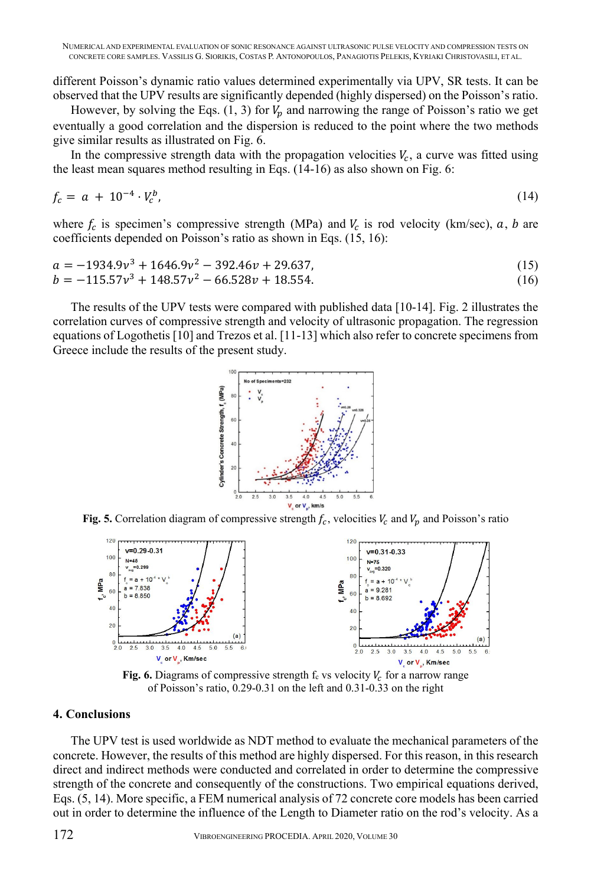different Poisson's dynamic ratio values determined experimentally via UPV, SR tests. It can be observed that the UPV results are significantly depended (highly dispersed) on the Poisson's ratio.

However, by solving the Eqs.  $(1, 3)$  for  $V_p$  and narrowing the range of Poisson's ratio we get eventually a good correlation and the dispersion is reduced to the point where the two methods give similar results as illustrated on Fig. 6.

In the compressive strength data with the propagation velocities  $V_c$ , a curve was fitted using the least mean squares method resulting in Eqs. (14-16) as also shown on Fig. 6:

$$
f_c = a + 10^{-4} \cdot V_c^b,
$$
\n(14)

where  $f_c$  is specimen's compressive strength (MPa) and  $V_c$  is rod velocity (km/sec),  $a, b$  are coefficients depended on Poisson's ratio as shown in Eqs. (15, 16):

$$
a = -1934.9v3 + 1646.9v2 - 392.46v + 29.637,b = -115.57v3 + 148.57v2 - 66.528v + 18.554.
$$
 (16)

The results of the UPV tests were compared with published data [10-14]. Fig. 2 illustrates the correlation curves of compressive strength and velocity of ultrasonic propagation. The regression equations of Logothetis [10] and Trezos et al. [11-13] which also refer to concrete specimens from Greece include the results of the present study.



**Fig. 5.** Correlation diagram of compressive strength  $f_c$ , velocities  $V_c$  and  $V_p$  and Poisson's ratio



**Fig. 6.** Diagrams of compressive strength  $f_c$  vs velocity  $V_c$  for a narrow range of Poisson's ratio, 0.29-0.31 on the left and 0.31-0.33 on the right

#### **4. Conclusions**

The UPV test is used worldwide as NDT method to evaluate the mechanical parameters of the concrete. However, the results of this method are highly dispersed. For this reason, in this research direct and indirect methods were conducted and correlated in order to determine the compressive strength of the concrete and consequently of the constructions. Two empirical equations derived, Eqs. (5, 14). More specific, a FEM numerical analysis of 72 concrete core models has been carried out in order to determine the influence of the Length to Diameter ratio on the rod's velocity. As a